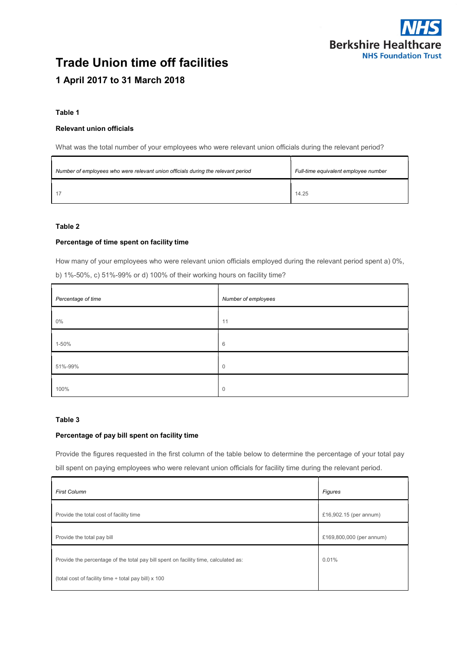

# Trade Union time off facilities 1 April 2017 to 31 March 2018

#### Table 1

#### Relevant union officials

What was the total number of your employees who were relevant union officials during the relevant period?

| Number of employees who were relevant union officials during the relevant period | Full-time equivalent employee number |
|----------------------------------------------------------------------------------|--------------------------------------|
|                                                                                  | 14.25                                |

# Table 2

#### Percentage of time spent on facility time

How many of your employees who were relevant union officials employed during the relevant period spent a) 0%,

| b) 1%-50%, c) 51%-99% or d) 100% of their working hours on facility time? |
|---------------------------------------------------------------------------|
|---------------------------------------------------------------------------|

| Percentage of time | Number of employees |
|--------------------|---------------------|
| $0\%$              | 11                  |
| 1-50%              | 6                   |
| 51%-99%            | $\mathbf 0$         |
| 100%               | $\mathbf 0$         |

## Table 3

#### Percentage of pay bill spent on facility time

Provide the figures requested in the first column of the table below to determine the percentage of your total pay

bill spent on paying employees who were relevant union officials for facility time during the relevant period.

| <b>First Column</b>                                                                 | Figures                  |
|-------------------------------------------------------------------------------------|--------------------------|
| Provide the total cost of facility time                                             | £16,902.15 (per annum)   |
| Provide the total pay bill                                                          | £169,800,000 (per annum) |
| Provide the percentage of the total pay bill spent on facility time, calculated as: | 0.01%                    |
| (total cost of facility time ÷ total pay bill) x 100                                |                          |